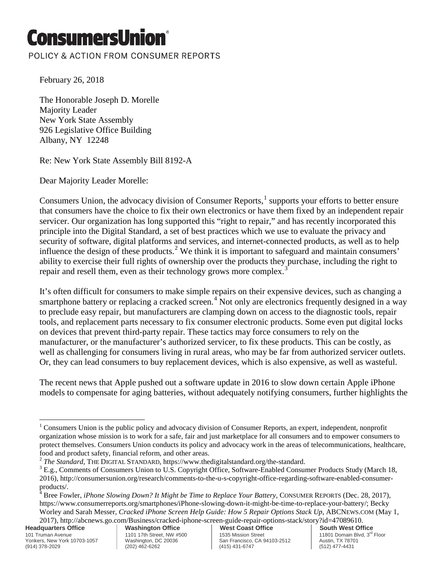## ConsumersUnio

POLICY & ACTION FROM CONSUMER REPORTS

February 26, 2018

The Honorable Joseph D. Morelle Majority Leader New York State Assembly 926 Legislative Office Building Albany, NY 12248

Re: New York State Assembly Bill 8192-A

Dear Majority Leader Morelle:

Consumers Union, the advocacy division of Consumer Reports, $<sup>1</sup>$  $<sup>1</sup>$  $<sup>1</sup>$  supports your efforts to better ensure</sup> that consumers have the choice to fix their own electronics or have them fixed by an independent repair servicer. Our organization has long supported this "right to repair," and has recently incorporated this principle into the Digital Standard, a set of best practices which we use to evaluate the privacy and security of software, digital platforms and services, and internet-connected products, as well as to help influence the design of these products.<sup>[2](#page-0-1)</sup> We think it is important to safeguard and maintain consumers' ability to exercise their full rights of ownership over the products they purchase, including the right to repair and resell them, even as their technology grows more complex.<sup>[3](#page-0-2)</sup>

It's often difficult for consumers to make simple repairs on their expensive devices, such as changing a smartphone battery or replacing a cracked screen.<sup>[4](#page-0-3)</sup> Not only are electronics frequently designed in a way to preclude easy repair, but manufacturers are clamping down on access to the diagnostic tools, repair tools, and replacement parts necessary to fix consumer electronic products. Some even put digital locks on devices that prevent third-party repair. These tactics may force consumers to rely on the manufacturer, or the manufacturer's authorized servicer, to fix these products. This can be costly, as well as challenging for consumers living in rural areas, who may be far from authorized servicer outlets. Or, they can lead consumers to buy replacement devices, which is also expensive, as well as wasteful.

The recent news that Apple pushed out a software update in 2016 to slow down certain Apple iPhone models to compensate for aging batteries, without adequately notifying consumers, further highlights the

**Headquarters Office** 101 Truman Avenue Yonkers, New York 10703-1057 (914) 378-2029

<span id="page-0-0"></span><sup>&</sup>lt;sup>1</sup> Consumers Union is the public policy and advocacy division of Consumer Reports, an expert, independent, nonprofit organization whose mission is to work for a safe, fair and just marketplace for all consumers and to empower consumers to protect themselves. Consumers Union conducts its policy and advocacy work in the areas of telecommunications, healthcare, food and product safety, financial reform, and other areas.<br><sup>2</sup> The Standard, THE DIGITAL STANDARD, https://www.thedigitalstandard.org/the-standard.  $\overline{\phantom{a}}$ 

<span id="page-0-2"></span><span id="page-0-1"></span><sup>&</sup>lt;sup>3</sup> E.g., Comments of Consumers Union to U.S. Copyright Office, Software-Enabled Consumer Products Study (March 18, 2016), http://consumersunion.org/research/comments-to-the-u-s-copyright-office-regarding-software-enabled-consumerproducts/.

<span id="page-0-3"></span><sup>4</sup> Bree Fowler, *iPhone Slowing Down? It Might be Time to Replace Your Battery,* CONSUMER REPORTS (Dec. 28, 2017), https://www.consumerreports.org/smartphones/iPhone-slowing-down-it-might-be-time-to-replace-your-battery/; Becky Worley and Sarah Messer, *Cracked iPhone Screen Help Guide: How 5 Repair Options Stack Up*, ABCNEWS.COM (May 1, 2017), http://abcnews.go.com/Business/cracked-iphone-screen-guide-repair-options-stack/story?id=47089610.